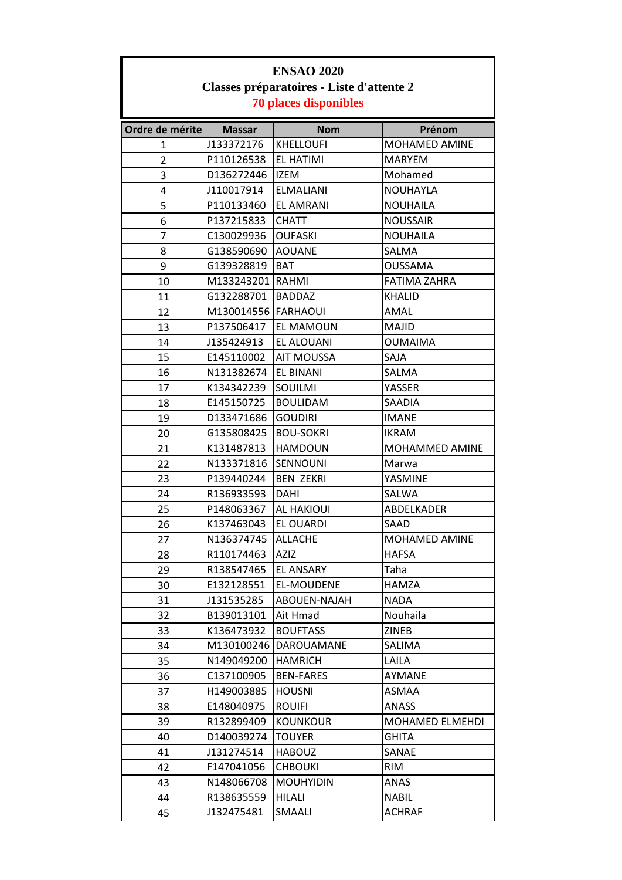| <b>ENSAO 2020</b>                                                         |                     |                   |                      |
|---------------------------------------------------------------------------|---------------------|-------------------|----------------------|
| Classes préparatoires - Liste d'attente 2<br><b>70 places disponibles</b> |                     |                   |                      |
| Ordre de mérite                                                           | <b>Massar</b>       | <b>Nom</b>        | Prénom               |
| 1                                                                         | J133372176          | <b>KHELLOUFI</b>  | <b>MOHAMED AMINE</b> |
| $\overline{2}$                                                            | P110126538          | EL HATIMI         | <b>MARYEM</b>        |
| 3                                                                         | D136272446          | <b>IZEM</b>       | Mohamed              |
| 4                                                                         | J110017914          | <b>ELMALIANI</b>  | NOUHAYLA             |
| 5                                                                         | P110133460          | <b>EL AMRANI</b>  | <b>NOUHAILA</b>      |
| 6                                                                         | P137215833          | <b>CHATT</b>      | <b>NOUSSAIR</b>      |
| $\overline{7}$                                                            | C130029936          | <b>OUFASKI</b>    | <b>NOUHAILA</b>      |
| 8                                                                         | G138590690          | <b>AOUANE</b>     | SALMA                |
| 9                                                                         | G139328819          | <b>BAT</b>        | OUSSAMA              |
| 10                                                                        | M133243201          | <b>RAHMI</b>      | <b>FATIMA ZAHRA</b>  |
| 11                                                                        | G132288701          | <b>BADDAZ</b>     | <b>KHALID</b>        |
| 12                                                                        | M130014556 FARHAOUI |                   | AMAL                 |
| 13                                                                        | P137506417          | <b>EL MAMOUN</b>  | MAJID                |
| 14                                                                        | J135424913          | EL ALOUANI        | <b>OUMAIMA</b>       |
| 15                                                                        | E145110002          | <b>AIT MOUSSA</b> | SAJA                 |
| 16                                                                        | N131382674          | <b>EL BINANI</b>  | SALMA                |
| 17                                                                        | K134342239          | SOUILMI           | YASSER               |
| 18                                                                        | E145150725          | <b>BOULIDAM</b>   | SAADIA               |
| 19                                                                        | D133471686          | <b>GOUDIRI</b>    | <b>IMANE</b>         |
| 20                                                                        | G135808425          | <b>BOU-SOKRI</b>  | <b>IKRAM</b>         |
| 21                                                                        | K131487813          | <b>HAMDOUN</b>    | MOHAMMED AMINE       |
| 22                                                                        | N133371816          | SENNOUNI          | Marwa                |
| 23                                                                        | P139440244          | <b>BEN ZEKRI</b>  | YASMINE              |
| 24                                                                        | R136933593          | <b>DAHI</b>       | <b>SALWA</b>         |
| 25                                                                        | P148063367          | AL HAKIOUI        | ABDELKADER           |
| 26                                                                        | K137463043          | EL OUARDI         | SAAD                 |
| 27                                                                        | N136374745          | <b>ALLACHE</b>    | MOHAMED AMINE        |
| 28                                                                        | R110174463          | AZIZ              | <b>HAFSA</b>         |
| 29                                                                        | R138547465          | <b>EL ANSARY</b>  | Taha                 |
| 30                                                                        | E132128551          | EL-MOUDENE        | HAMZA                |
| 31                                                                        | J131535285          | ABOUEN-NAJAH      | <b>NADA</b>          |
| 32                                                                        | B139013101          | Ait Hmad          | Nouhaila             |
| 33                                                                        | K136473932          | <b>BOUFTASS</b>   | <b>ZINEB</b>         |
| 34                                                                        | M130100246          | DAROUAMANE        | SALIMA               |
| 35                                                                        | N149049200          | <b>HAMRICH</b>    | LAILA                |
| 36                                                                        | C137100905          | <b>BEN-FARES</b>  | AYMANE               |
| 37                                                                        | H149003885          | <b>HOUSNI</b>     | ASMAA                |
| 38                                                                        | E148040975          | <b>ROUIFI</b>     | ANASS                |
| 39                                                                        | R132899409          | <b>KOUNKOUR</b>   | MOHAMED ELMEHDI      |
| 40                                                                        | D140039274          | <b>TOUYER</b>     | GHITA                |
| 41                                                                        | J131274514          | <b>HABOUZ</b>     | SANAE                |
| 42                                                                        | F147041056          | <b>CHBOUKI</b>    | <b>RIM</b>           |
| 43                                                                        | N148066708          | <b>MOUHYIDIN</b>  | ANAS                 |
| 44                                                                        | R138635559          | HILALI            | NABIL                |
| 45                                                                        | J132475481          | SMAALI            | <b>ACHRAF</b>        |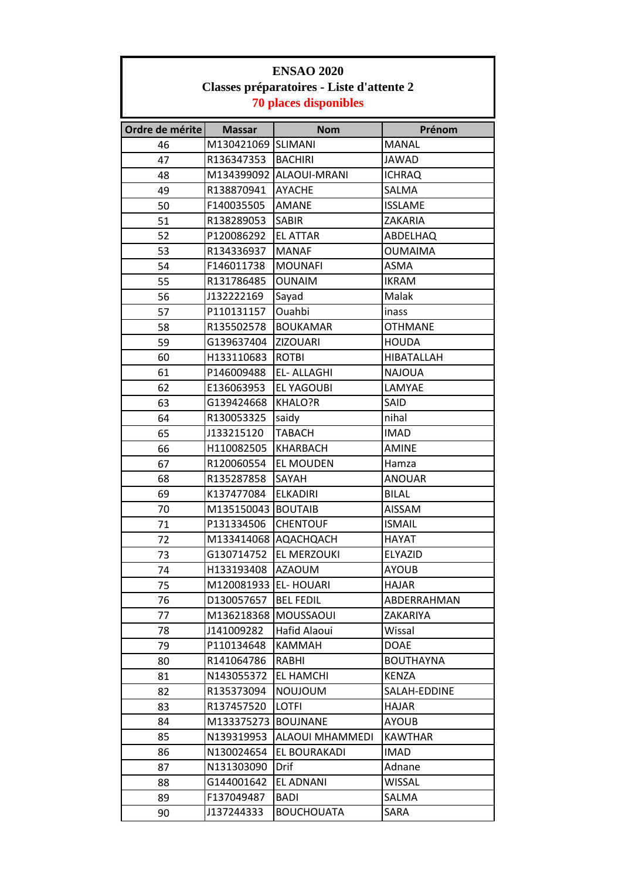| <b>ENSAO 2020</b>                                                         |                                       |                         |                  |  |  |
|---------------------------------------------------------------------------|---------------------------------------|-------------------------|------------------|--|--|
| Classes préparatoires - Liste d'attente 2<br><b>70 places disponibles</b> |                                       |                         |                  |  |  |
| Ordre de mérite                                                           | <b>Nom</b><br>Prénom<br><b>Massar</b> |                         |                  |  |  |
| 46                                                                        | M130421069 SLIMANI                    |                         | MANAL            |  |  |
| 47                                                                        | R136347353                            | <b>BACHIRI</b>          | JAWAD            |  |  |
| 48                                                                        |                                       | M134399092 ALAOUI-MRANI | <b>ICHRAQ</b>    |  |  |
| 49                                                                        | R138870941                            | <b>AYACHE</b>           | SALMA            |  |  |
| 50                                                                        | F140035505                            | <b>AMANE</b>            | <b>ISSLAME</b>   |  |  |
| 51                                                                        | R138289053                            | <b>SABIR</b>            | ZAKARIA          |  |  |
| 52                                                                        | P120086292                            | <b>EL ATTAR</b>         | ABDELHAQ         |  |  |
| 53                                                                        | R134336937                            | <b>MANAF</b>            | <b>OUMAIMA</b>   |  |  |
| 54                                                                        | F146011738                            | <b>MOUNAFI</b>          | <b>ASMA</b>      |  |  |
| 55                                                                        | R131786485                            | <b>OUNAIM</b>           | <b>IKRAM</b>     |  |  |
| 56                                                                        | J132222169                            | Sayad                   | Malak            |  |  |
| 57                                                                        | P110131157                            | Ouahbi                  | inass            |  |  |
| 58                                                                        | R135502578                            | <b>BOUKAMAR</b>         | <b>OTHMANE</b>   |  |  |
| 59                                                                        | G139637404                            | <b>ZIZOUARI</b>         | <b>HOUDA</b>     |  |  |
| 60                                                                        | H133110683                            | <b>ROTBI</b>            | HIBATALLAH       |  |  |
| 61                                                                        | P146009488                            | <b>EL-ALLAGHI</b>       | <b>NAJOUA</b>    |  |  |
| 62                                                                        | E136063953                            | <b>EL YAGOUBI</b>       | LAMYAE           |  |  |
| 63                                                                        | G139424668                            | KHALO?R                 | SAID             |  |  |
| 64                                                                        | R130053325                            | saidy                   | nihal            |  |  |
| 65                                                                        | J133215120                            | <b>TABACH</b>           | <b>IMAD</b>      |  |  |
| 66                                                                        | H110082505                            | <b>KHARBACH</b>         | <b>AMINE</b>     |  |  |
| 67                                                                        | R120060554                            | <b>EL MOUDEN</b>        | Hamza            |  |  |
| 68                                                                        | R135287858                            | SAYAH                   | <b>ANOUAR</b>    |  |  |
| 69                                                                        | K137477084                            | <b>ELKADIRI</b>         | <b>BILAL</b>     |  |  |
| 70                                                                        | M135150043                            | <b>BOUTAIB</b>          | <b>AISSAM</b>    |  |  |
| 71                                                                        | P131334506                            | <b>CHENTOUF</b>         | <b>ISMAIL</b>    |  |  |
| 72                                                                        |                                       | M133414068 AQACHQACH    | HAYAT            |  |  |
| 73                                                                        | G130714752                            | <b>JEL MERZOUKI</b>     | <b>ELYAZID</b>   |  |  |
| 74                                                                        | H133193408                            | <b>AZAOUM</b>           | <b>AYOUB</b>     |  |  |
| 75                                                                        | M120081933                            | <b>EL-HOUARI</b>        | HAJAR            |  |  |
| 76                                                                        | D130057657                            | <b>BEL FEDIL</b>        | ABDERRAHMAN      |  |  |
| 77                                                                        | M136218368 MOUSSAOUI                  |                         | ZAKARIYA         |  |  |
| 78                                                                        | J141009282                            | Hafid Alaoui            | Wissal           |  |  |
| 79                                                                        | P110134648                            | <b>KAMMAH</b>           | DOAE             |  |  |
| 80                                                                        | R141064786                            | RABHI                   | <b>BOUTHAYNA</b> |  |  |
| 81                                                                        | N143055372                            | <b>EL HAMCHI</b>        | <b>KENZA</b>     |  |  |
| 82                                                                        | R135373094                            | <b>NOUJOUM</b>          | SALAH-EDDINE     |  |  |
| 83                                                                        | R137457520                            | <b>LOTFI</b>            | <b>HAJAR</b>     |  |  |
| 84                                                                        | M133375273                            | BOUJNANE                | AYOUB            |  |  |
| 85                                                                        | N139319953                            | ALAOUI MHAMMEDI         | KAWTHAR          |  |  |
| 86                                                                        | N130024654                            | EL BOURAKADI            | <b>IMAD</b>      |  |  |
| 87                                                                        | N131303090                            | Drif                    | Adnane           |  |  |
| 88                                                                        | G144001642                            | <b>EL ADNANI</b>        | <b>WISSAL</b>    |  |  |
| 89                                                                        | F137049487                            | BADI                    | SALMA            |  |  |
| 90                                                                        | J137244333                            | <b>BOUCHOUATA</b>       | SARA             |  |  |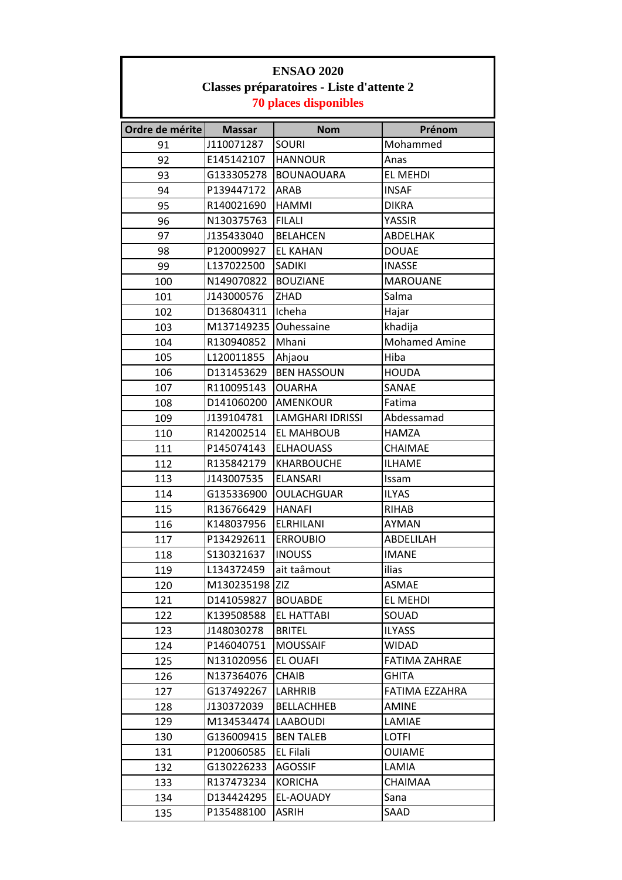| <b>ENSAO 2020</b><br>Classes préparatoires - Liste d'attente 2 |                     |                         |                      |  |
|----------------------------------------------------------------|---------------------|-------------------------|----------------------|--|
|                                                                |                     |                         |                      |  |
| Ordre de mérite                                                | <b>Massar</b>       | <b>Nom</b>              | Prénom               |  |
| 91                                                             | J110071287          | <b>SOURI</b>            | Mohammed             |  |
| 92                                                             | E145142107          | <b>HANNOUR</b>          | Anas                 |  |
| 93                                                             | G133305278          | <b>BOUNAOUARA</b>       | <b>EL MEHDI</b>      |  |
| 94                                                             | P139447172          | ARAB                    | <b>INSAF</b>         |  |
| 95                                                             | R140021690          | <b>HAMMI</b>            | <b>DIKRA</b>         |  |
| 96                                                             | N130375763          | <b>FILALI</b>           | YASSIR               |  |
| 97                                                             | J135433040          | <b>BELAHCEN</b>         | ABDELHAK             |  |
| 98                                                             | P120009927          | <b>EL KAHAN</b>         | <b>DOUAE</b>         |  |
| 99                                                             | L137022500          | SADIKI                  | <b>INASSE</b>        |  |
| 100                                                            | N149070822          | <b>BOUZIANE</b>         | <b>MAROUANE</b>      |  |
| 101                                                            | J143000576          | <b>ZHAD</b>             | Salma                |  |
| 102                                                            | D136804311          | Icheha                  | Hajar                |  |
| 103                                                            | M137149235          | Ouhessaine              | khadija              |  |
| 104                                                            | R130940852          | Mhani                   | <b>Mohamed Amine</b> |  |
| 105                                                            | L120011855          | Ahjaou                  | Hiba                 |  |
| 106                                                            | D131453629          | <b>BEN HASSOUN</b>      | <b>HOUDA</b>         |  |
| 107                                                            | R110095143          | <b>OUARHA</b>           | SANAE                |  |
| 108                                                            | D141060200          | AMENKOUR                | Fatima               |  |
| 109                                                            | J139104781          | <b>LAMGHARI IDRISSI</b> | Abdessamad           |  |
| 110                                                            | R142002514          | <b>EL MAHBOUB</b>       | <b>HAMZA</b>         |  |
| 111                                                            | P145074143          | <b>ELHAOUASS</b>        | CHAIMAE              |  |
| 112                                                            | R135842179          | <b>KHARBOUCHE</b>       | <b>ILHAME</b>        |  |
| 113                                                            | J143007535          | <b>ELANSARI</b>         | Issam                |  |
| 114                                                            | G135336900          | <b>OULACHGUAR</b>       | <b>ILYAS</b>         |  |
| 115                                                            | R136766429          | <b>HANAFI</b>           | <b>RIHAB</b>         |  |
| 116                                                            | K148037956          | <b>ELRHILANI</b>        | AYMAN                |  |
| 117                                                            | P134292611          | <b>ERROUBIO</b>         | ABDELILAH            |  |
| 118                                                            | S130321637          | <b>INOUSS</b>           | <b>IMANE</b>         |  |
| 119                                                            | L134372459          | ait taâmout             | ilias                |  |
| 120                                                            | M130235198 ZIZ      |                         | <b>ASMAE</b>         |  |
| 121                                                            | D141059827          | <b>BOUABDE</b>          | EL MEHDI             |  |
| 122                                                            | K139508588          | EL HATTABI              | SOUAD                |  |
| 123                                                            | J148030278          | <b>BRITEL</b>           | <b>ILYASS</b>        |  |
| 124                                                            | P146040751          | <b>MOUSSAIF</b>         | <b>WIDAD</b>         |  |
| 125                                                            | N131020956          | <b>EL OUAFI</b>         | <b>FATIMA ZAHRAE</b> |  |
| 126                                                            | N137364076          | <b>CHAIB</b>            | GHITA                |  |
| 127                                                            | G137492267          | LARHRIB                 | FATIMA EZZAHRA       |  |
| 128                                                            | J130372039          | <b>BELLACHHEB</b>       | AMINE                |  |
| 129                                                            | M134534474 LAABOUDI |                         | LAMIAE               |  |
| 130                                                            | G136009415          | <b>BEN TALEB</b>        | <b>LOTFI</b>         |  |
| 131                                                            | P120060585          | <b>EL Filali</b>        | OUIAME               |  |
| 132                                                            | G130226233          | <b>AGOSSIF</b>          | LAMIA                |  |
| 133                                                            | R137473234          | <b>KORICHA</b>          | CHAIMAA              |  |
| 134                                                            | D134424295          | EL-AOUADY               | Sana                 |  |
| 135                                                            | P135488100          | <b>ASRIH</b>            | SAAD                 |  |

Г

ī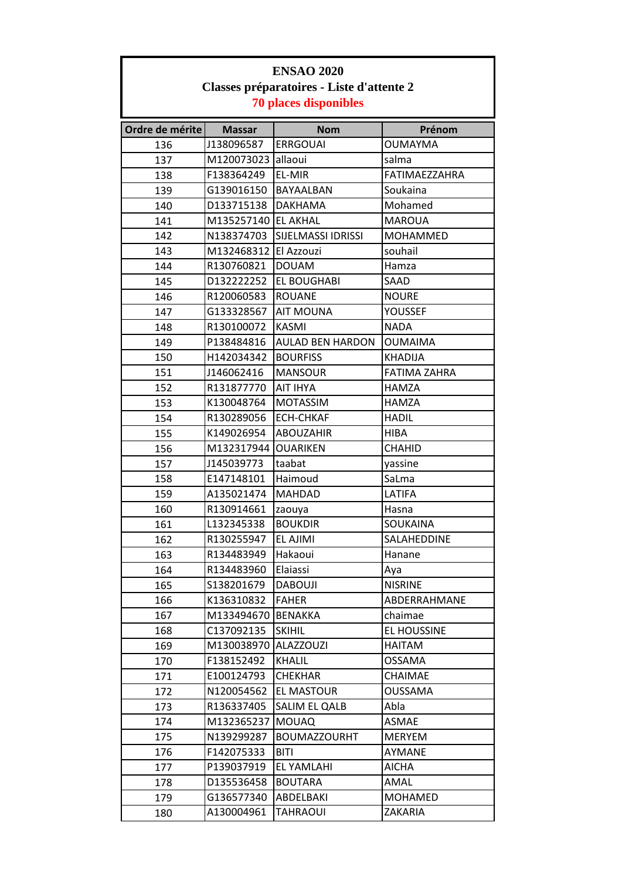| <b>ENSAO 2020</b>                         |                              |                                     |                        |  |
|-------------------------------------------|------------------------------|-------------------------------------|------------------------|--|
| Classes préparatoires - Liste d'attente 2 |                              |                                     |                        |  |
|                                           | <b>70 places disponibles</b> |                                     |                        |  |
|                                           | <b>Massar</b>                | <b>Nom</b>                          | Prénom                 |  |
| Ordre de mérite                           | J138096587                   | <b>ERRGOUAI</b>                     | <b>OUMAYMA</b>         |  |
| 136<br>137                                | M120073023 allaoui           |                                     | salma                  |  |
| 138                                       | F138364249                   | EL-MIR                              | <b>FATIMAEZZAHRA</b>   |  |
| 139                                       | G139016150                   | BAYAALBAN                           | Soukaina               |  |
| 140                                       | D133715138                   | <b>DAKHAMA</b>                      | Mohamed                |  |
| 141                                       | M135257140 EL AKHAL          |                                     | <b>MAROUA</b>          |  |
| 142                                       | N138374703                   | <b>SIJELMASSI IDRISSI</b>           | MOHAMMED               |  |
| 143                                       | M132468312 El Azzouzi        |                                     | souhail                |  |
| 144                                       | R130760821                   | <b>DOUAM</b>                        | Hamza                  |  |
| 145                                       | D132222252                   | <b>EL BOUGHABI</b>                  | SAAD                   |  |
|                                           | R120060583                   | <b>ROUANE</b>                       | <b>NOURE</b>           |  |
| 146                                       |                              |                                     |                        |  |
| 147<br>148                                | G133328567<br>R130100072     | <b>AIT MOUNA</b><br><b>KASMI</b>    | YOUSSEF<br><b>NADA</b> |  |
|                                           | P138484816                   |                                     |                        |  |
| 149                                       | H142034342                   | AULAD BEN HARDON<br><b>BOURFISS</b> | <b>OUMAIMA</b>         |  |
| 150                                       |                              |                                     | <b>KHADIJA</b>         |  |
| 151                                       | J146062416                   | <b>MANSOUR</b>                      | <b>FATIMA ZAHRA</b>    |  |
| 152                                       | R131877770                   | <b>AIT IHYA</b>                     | HAMZA                  |  |
| 153                                       | K130048764                   | <b>MOTASSIM</b>                     | <b>HAMZA</b>           |  |
| 154                                       | R130289056                   | <b>ECH-CHKAF</b>                    | <b>HADIL</b>           |  |
| 155                                       | K149026954                   | <b>ABOUZAHIR</b>                    | <b>HIBA</b>            |  |
| 156                                       | M132317944                   | <b>OUARIKEN</b>                     | CHAHID                 |  |
| 157                                       | J145039773                   | taabat                              | yassine                |  |
| 158                                       | E147148101                   | Haimoud                             | SaLma                  |  |
| 159                                       | A135021474                   | <b>MAHDAD</b>                       | LATIFA                 |  |
| 160                                       | R130914661                   | zaouya                              | Hasna                  |  |
| 161                                       | L132345338                   | <b>BOUKDIR</b>                      | SOUKAINA               |  |
| 162                                       | R130255947                   | EL AJIMI                            | SALAHEDDINE            |  |
| 163                                       | R134483949                   | Hakaoui                             | Hanane                 |  |
| 164                                       | R134483960                   | Elaiassi                            | Aya                    |  |
| 165                                       | S138201679                   | <b>DABOUJI</b>                      | <b>NISRINE</b>         |  |
| 166                                       | K136310832                   | <b>FAHER</b>                        | ABDERRAHMANE           |  |
| 167                                       | M133494670                   | <b>BENAKKA</b>                      | chaimae                |  |
| 168                                       | C137092135                   | <b>SKIHIL</b>                       | <b>EL HOUSSINE</b>     |  |
| 169                                       | M130038970                   | <b>ALAZZOUZI</b>                    | HAITAM                 |  |
| 170                                       | F138152492                   | <b>KHALIL</b>                       | OSSAMA                 |  |
| 171                                       | E100124793                   | <b>CHEKHAR</b>                      | CHAIMAE                |  |
| 172                                       | N120054562                   | <b>EL MASTOUR</b>                   | OUSSAMA                |  |
| 173                                       | R136337405                   | SALIM EL QALB                       | Abla                   |  |
| 174                                       | M132365237                   | <b>MOUAQ</b>                        | ASMAE                  |  |
| 175                                       | N139299287                   | <b>BOUMAZZOURHT</b>                 | MERYEM                 |  |
| 176                                       | F142075333                   | <b>BITI</b>                         | AYMANE                 |  |
| 177                                       | P139037919                   | EL YAMLAHI                          | <b>AICHA</b>           |  |
| 178                                       | D135536458                   | <b>BOUTARA</b>                      | AMAL                   |  |
| 179                                       | G136577340                   | ABDELBAKI                           | MOHAMED                |  |
| 180                                       | A130004961                   | TAHRAOUI                            | ZAKARIA                |  |

Г

٦